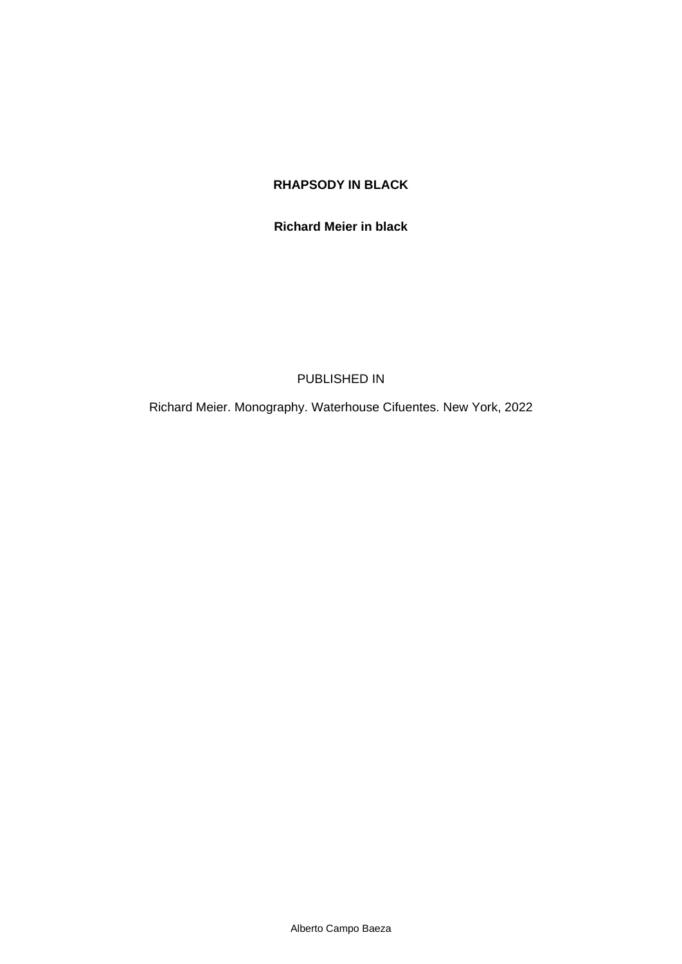## **RHAPSODY IN BLACK**

#### **Richard Meier in black**

#### PUBLISHED IN

Richard Meier. Monography. Waterhouse Cifuentes. New York, 2022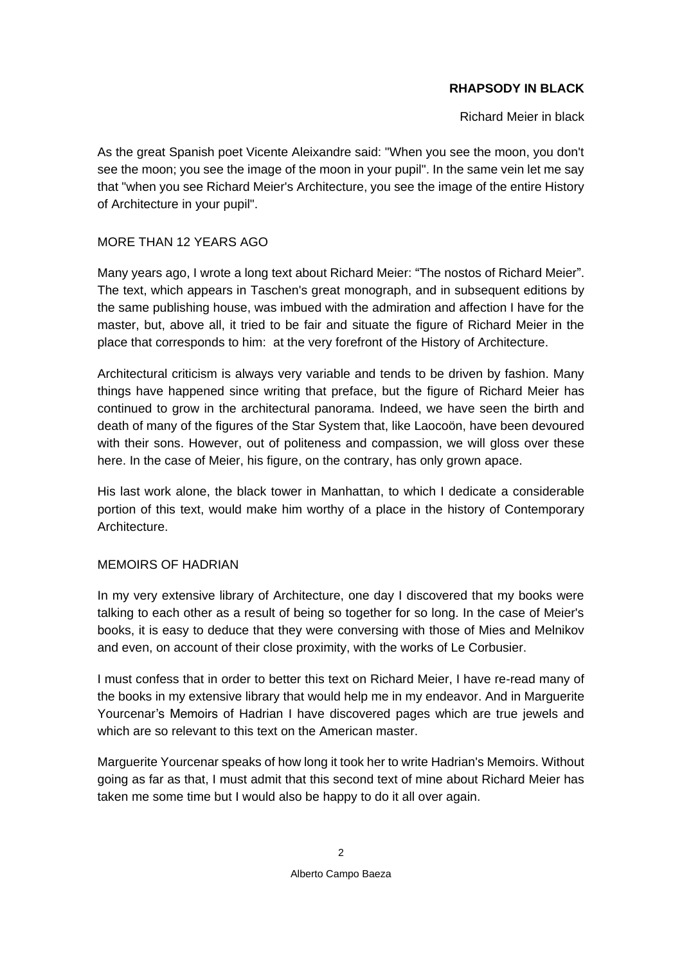# **RHAPSODY IN BLACK**

Richard Meier in black

As the great Spanish poet Vicente Aleixandre said: "When you see the moon, you don't see the moon; you see the image of the moon in your pupil". In the same vein let me say that "when you see Richard Meier's Architecture, you see the image of the entire History of Architecture in your pupil".

# MORE THAN 12 YEARS AGO

Many years ago, I wrote a long text about Richard Meier: "The *nostos* of Richard Meier". The text, which appears in Taschen's great monograph, and in subsequent editions by the same publishing house, was imbued with the admiration and affection I have for the master, but, above all, it tried to be fair and situate the figure of Richard Meier in the place that corresponds to him: at the very forefront of the History of Architecture.

Architectural criticism is always very variable and tends to be driven by fashion. Many things have happened since writing that preface, but the figure of Richard Meier has continued to grow in the architectural panorama. Indeed, we have seen the birth and death of many of the figures of the Star System that, like Laocoön, have been devoured with their sons. However, out of politeness and compassion, we will gloss over these here. In the case of Meier, his figure, on the contrary, has only grown apace.

His last work alone, the black tower in Manhattan, to which I dedicate a considerable portion of this text, would make him worthy of a place in the history of Contemporary Architecture.

## MEMOIRS OF HADRIAN

In my very extensive library of Architecture, one day I discovered that my books were talking to each other as a result of being so together for so long. In the case of Meier's books, it is easy to deduce that they were conversing with those of Mies and Melnikov and even, on account of their close proximity, with the works of Le Corbusier.

I must confess that in order to better this text on Richard Meier, I have re-read many of the books in my extensive library that would help me in my endeavor. And in Marguerite Yourcenar's Memoirs of Hadrian I have discovered pages which are true jewels and which are so relevant to this text on the American master.

Marguerite Yourcenar speaks of how long it took her to write Hadrian's Memoirs. Without going as far as that, I must admit that this second text of mine about Richard Meier has taken me some time but I would also be happy to do it all over again.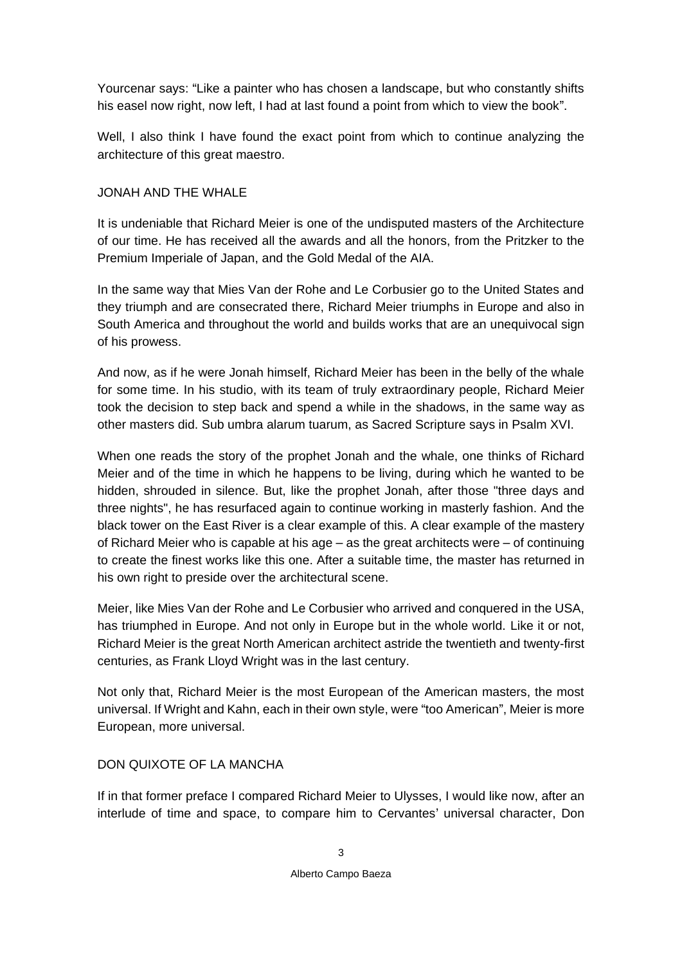Yourcenar says: "Like a painter who has chosen a landscape, but who constantly shifts his easel now right, now left, I had at last found a point from which to view the book".

Well, I also think I have found the exact point from which to continue analyzing the architecture of this great maestro.

## JONAH AND THE WHALE

It is undeniable that Richard Meier is one of the undisputed masters of the Architecture of our time. He has received all the awards and all the honors, from the Pritzker to the Premium Imperiale of Japan, and the Gold Medal of the AIA.

In the same way that Mies Van der Rohe and Le Corbusier go to the United States and they triumph and are consecrated there, Richard Meier triumphs in Europe and also in South America and throughout the world and builds works that are an unequivocal sign of his prowess.

And now, as if he were Jonah himself, Richard Meier has been in the belly of the whale for some time. In his studio, with its team of truly extraordinary people, Richard Meier took the decision to step back and spend a while in the shadows, in the same way as other masters did. *Sub umbra alarum tuarum*, as *Sacred Scripture* says in Psalm XVI.

When one reads the story of the prophet Jonah and the whale, one thinks of Richard Meier and of the time in which he happens to be living, during which he wanted to be hidden, shrouded in silence. But, like the prophet Jonah, after those "three days and three nights", he has resurfaced again to continue working in masterly fashion. And the black tower on the East River is a clear example of this. A clear example of the mastery of Richard Meier who is capable at his age – as the great architects were – of continuing to create the finest works like this one. After a suitable time, the master has returned in his own right to preside over the architectural scene.

Meier, like Mies Van der Rohe and Le Corbusier who arrived and conquered in the USA, has triumphed in Europe. And not only in Europe but in the whole world. Like it or not, Richard Meier is the great North American architect astride the twentieth and twenty-first centuries, as Frank Lloyd Wright was in the last century.

Not only that, Richard Meier is the most European of the American masters, the most universal. If Wright and Kahn, each in their own style, were "too American", Meier is more European, more universal.

## DON QUIXOTE OF LA MANCHA

If in that former preface I compared Richard Meier to Ulysses, I would like now, after an interlude of time and space, to compare him to Cervantes' universal character, Don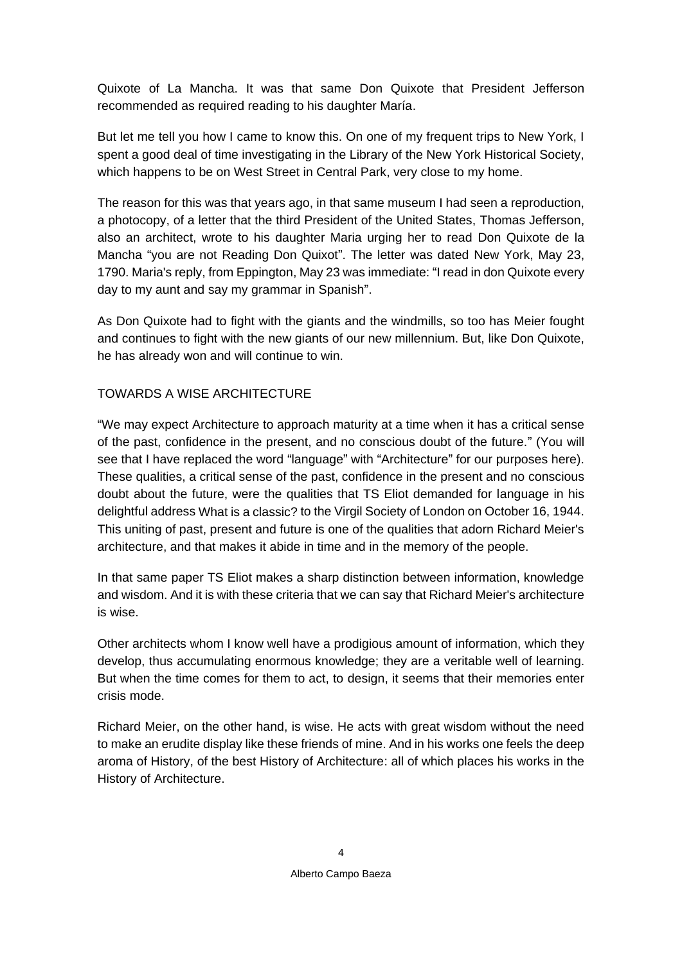Quixote of La Mancha. It was that same Don Quixote that President Jefferson recommended as required reading to his daughter María.

But let me tell you how I came to know this. On one of my frequent trips to New York, I spent a good deal of time investigating in the Library of the New York Historical Society, which happens to be on West Street in Central Park, very close to my home.

The reason for this was that years ago, in that same museum I had seen a reproduction, a photocopy, of a letter that the third President of the United States, Thomas Jefferson, also an architect, wrote to his daughter Maria urging her to read *Don Quixote de la Mancha* "you are not Reading Don Quixot". The letter was dated New York, May 23, 1790. Maria's reply, from Eppington, May 23 was immediate: "I read in don Quixote every day to my aunt and say my grammar in Spanish".

As Don Quixote had to fight with the giants and the windmills, so too has Meier fought and continues to fight with the new giants of our new millennium. But, like Don Quixote, he has already won and will continue to win.

### TOWARDS A WISE ARCHITECTURE

"We may expect Architecture to approach maturity at a time when it has a critical sense of the past, confidence in the present, and no conscious doubt of the future." (You will see that I have replaced the word "language" with "Architecture" for our purposes here). These qualities, a critical sense of the past, confidence in the present and no conscious doubt about the future, were the qualities that TS Eliot demanded for language in his delightful address *What is a classic?* to the Virgil Society of London on October 16, 1944. This uniting of past, present and future is one of the qualities that adorn Richard Meier's architecture, and that makes it abide in time and in the memory of the people.

In that same paper TS Eliot makes a sharp distinction between information, knowledge and wisdom. And it is with these criteria that we can say that Richard Meier's architecture is wise.

Other architects whom I know well have a prodigious amount of information, which they develop, thus accumulating enormous knowledge; they are a veritable well of learning. But when the time comes for them to act, to design, it seems that their memories enter crisis mode.

Richard Meier, on the other hand, is wise. He acts with great wisdom without the need to make an erudite display like these friends of mine. And in his works one feels the deep aroma of History, of the best History of Architecture: all of which places his works in the History of Architecture.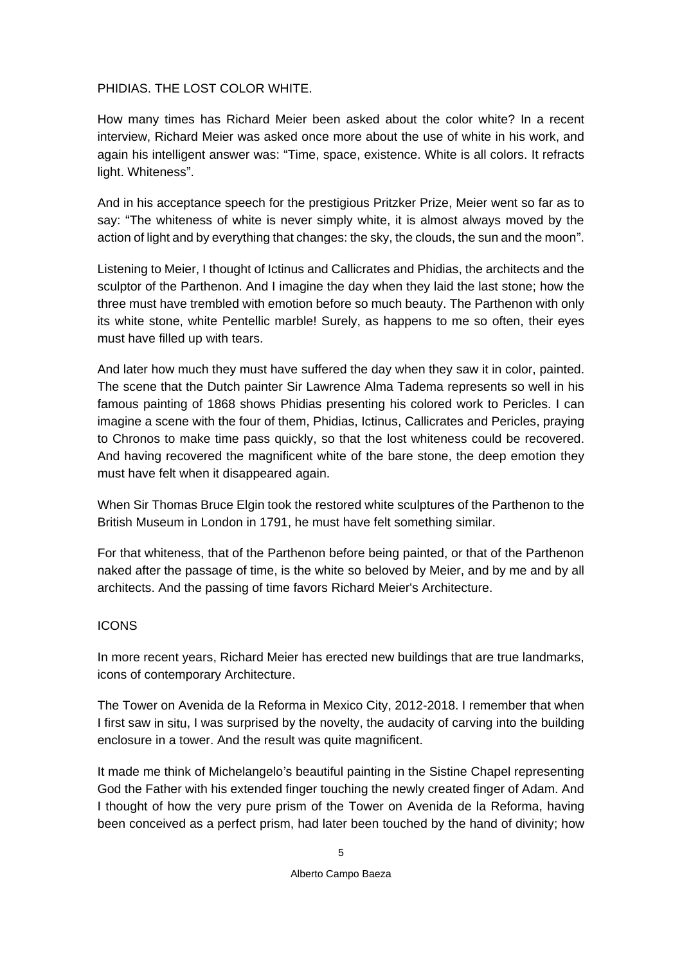### PHIDIAS. THE LOST COLOR WHITE.

How many times has Richard Meier been asked about the color white? In a recent interview, Richard Meier was asked once more about the use of white in his work, and again his intelligent answer was: "Time, space, existence. White is all colors. It refracts light. Whiteness".

And in his acceptance speech for the prestigious Pritzker Prize, Meier went so far as to say: "The whiteness of white is never simply white, it is almost always moved by the action of light and by everything that changes: the sky, the clouds, the sun and the moon".

Listening to Meier, I thought of Ictinus and Callicrates and Phidias, the architects and the sculptor of the Parthenon. And I imagine the day when they laid the last stone; how the three must have trembled with emotion before so much beauty. The Parthenon with only its white stone, white Pentellic marble! Surely, as happens to me so often, their eyes must have filled up with tears.

And later how much they must have suffered the day when they saw it in color, painted. The scene that the Dutch painter Sir Lawrence Alma Tadema represents so well in his famous painting of 1868 shows Phidias presenting his colored work to Pericles. I can imagine a scene with the four of them, Phidias, Ictinus, Callicrates and Pericles, praying to Chronos to make time pass quickly, so that the lost whiteness could be recovered. And having recovered the magnificent white of the bare stone, the deep emotion they must have felt when it disappeared again.

When Sir Thomas Bruce Elgin took the restored white sculptures of the Parthenon to the British Museum in London in 1791, he must have felt something similar.

For that whiteness, that of the Parthenon before being painted, or that of the Parthenon naked after the passage of time, is the white so beloved by Meier, and by me and by all architects. And the passing of time favors Richard Meier's Architecture.

#### ICONS

In more recent years, Richard Meier has erected new buildings that are true landmarks, icons of contemporary Architecture.

The Tower on Avenida de la Reforma in Mexico City, 2012-2018. I remember that when I first saw *in situ*, I was surprised by the novelty, the audacity of carving into the building enclosure in a tower. And the result was quite magnificent.

It made me think of Michelangelo's beautiful painting in the Sistine Chapel representing God the Father with his extended finger touching the newly created finger of Adam. And I thought of how the very pure prism of the Tower on Avenida de la Reforma, having been conceived as a perfect prism, had later been touched by the hand of divinity; how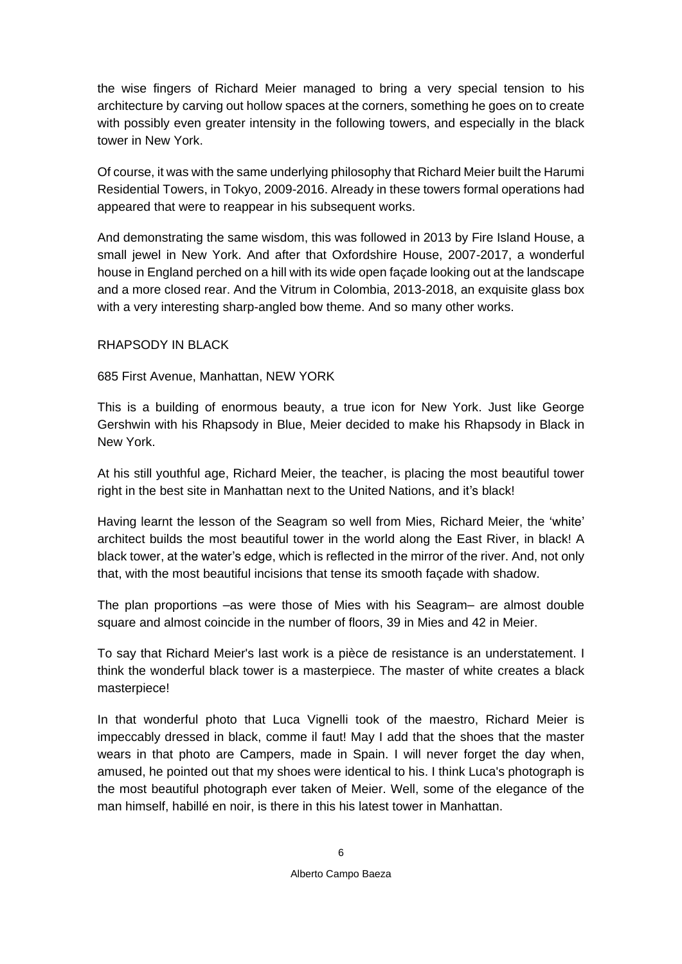the wise fingers of Richard Meier managed to bring a very special tension to his architecture by carving out hollow spaces at the corners, something he goes on to create with possibly even greater intensity in the following towers, and especially in the black tower in New York.

Of course, it was with the same underlying philosophy that Richard Meier built the Harumi Residential Towers, in Tokyo, 2009-2016. Already in these towers formal operations had appeared that were to reappear in his subsequent works.

And demonstrating the same wisdom, this was followed in 2013 by Fire Island House, a small jewel in New York. And after that Oxfordshire House, 2007-2017, a wonderful house in England perched on a hill with its wide open façade looking out at the landscape and a more closed rear. And the Vitrum in Colombia, 2013-2018, an exquisite glass box with a very interesting sharp-angled bow theme. And so many other works.

#### RHAPSODY IN BLACK

### 685 First Avenue, Manhattan, NEW YORK

This is a building of enormous beauty, a true icon for New York. Just like George Gershwin with his *Rhapsody in Blue*, Meier decided to make his *Rhapsody in Black* in New York.

At his still youthful age, Richard Meier, the teacher, is placing the most beautiful tower right in the best site in Manhattan next to the United Nations, and it's black!

Having learnt the lesson of the Seagram so well from Mies, Richard Meier, the 'white' architect builds the most beautiful tower in the world along the East River, in black! A black tower, at the water's edge, which is reflected in the mirror of the river. And, not only that, with the most beautiful incisions that tense its smooth façade with shadow.

The plan proportions –as were those of Mies with his Seagram– are almost double square and almost coincide in the number of floors, 39 in Mies and 42 in Meier.

To say that Richard Meier's last work is a *pièce de resistance* is an understatement. I think the wonderful black tower is a masterpiece. The master of white creates a black masterpiece!

In that wonderful photo that Luca Vignelli took of the maestro, Richard Meier is impeccably dressed in black, *comme il faut!* May I add that the shoes that the master wears in that photo are Campers, made in Spain. I will never forget the day when, amused, he pointed out that my shoes were identical to his. I think Luca's photograph is the most beautiful photograph ever taken of Meier. Well, some of the elegance of the man himself, *habillé en noir*, is there in this his latest tower in Manhattan.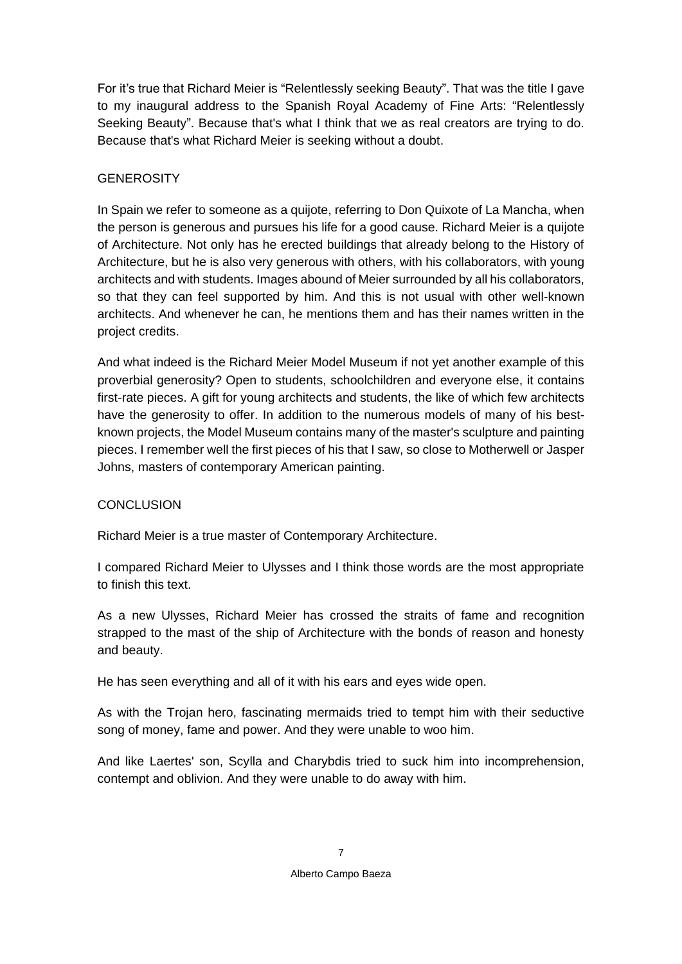For it's true that Richard Meier is "Relentlessly seeking Beauty". That was the title I gave to my inaugural address to the Spanish Royal Academy of Fine Arts: "Relentlessly Seeking Beauty". Because that's what I think that we as real creators are trying to do. Because that's what Richard Meier is seeking without a doubt.

# **GENEROSITY**

In Spain we refer to someone as a *quijote,* referring to Don Quixote of La Mancha, when the person is generous and pursues his life for a good cause. Richard Meier is a *quijote*  of Architecture. Not only has he erected buildings that already belong to the History of Architecture, but he is also very generous with others, with his collaborators, with young architects and with students. Images abound of Meier surrounded by all his collaborators, so that they can feel supported by him. And this is not usual with other well-known architects. And whenever he can, he mentions them and has their names written in the project credits.

And what indeed is the Richard Meier Model Museum if not yet another example of this proverbial generosity? Open to students, schoolchildren and everyone else, it contains first-rate pieces. A gift for young architects and students, the like of which few architects have the generosity to offer. In addition to the numerous models of many of his bestknown projects, the Model Museum contains many of the master's sculpture and painting pieces. I remember well the first pieces of his that I saw, so close to Motherwell or Jasper Johns, masters of contemporary American painting.

## **CONCLUSION**

Richard Meier is a true master of Contemporary Architecture.

I compared Richard Meier to Ulysses and I think those words are the most appropriate to finish this text.

As a new Ulysses, Richard Meier has crossed the straits of fame and recognition strapped to the mast of the ship of Architecture with the bonds of reason and honesty and beauty.

He has seen everything and all of it with his ears and eyes wide open.

As with the Trojan hero, fascinating mermaids tried to tempt him with their seductive song of money, fame and power. And they were unable to woo him.

And like Laertes' son, Scylla and Charybdis tried to suck him into incomprehension, contempt and oblivion. And they were unable to do away with him.